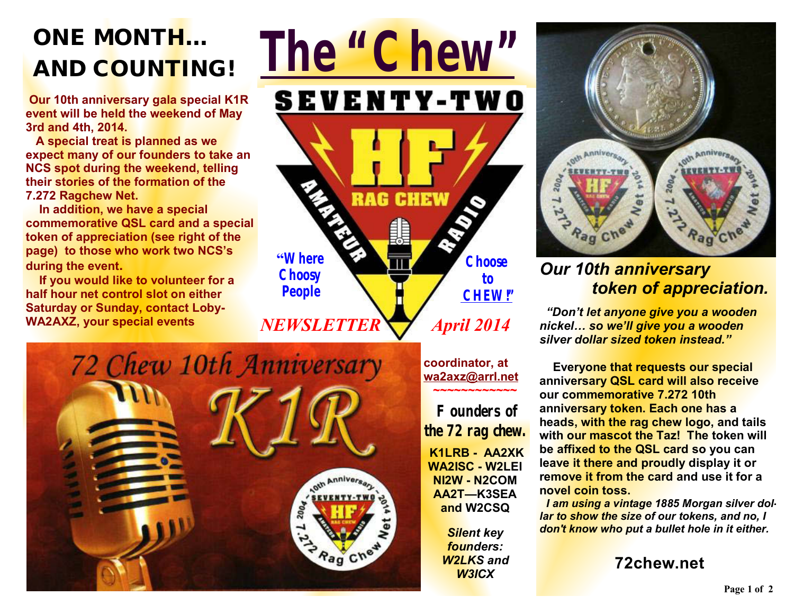# **ONE MONTH... AND COUNTING***!*

 **Our 10th anniversary gala special K1R event will be held the weekend of May 3rd and 4th, 2014.** 

 **A special treat is planned as we expect many of our founders to take an NCS spot during the weekend, telling their stories of the formation of the 7.272 Ragchew Net.** 

 **In addition, we have a special commemorative QSL card and a special token of appreciation (see right of the page) to those who work two NCS's during the event.** 

 **If you would like to volunteer for a half hour net control slot on either Saturday or Sunday, contact Loby-WA2AXZ, your special events** 





**coordinator, at [wa2axz@arrl.net](mailto:wa2axz@arrl.net)**

**~~~~~~~~~~~~** 

**Founders of the 72 rag chew. K1LRB - AA2XK WA2ISC - W2LEI NI2W - N2COM AA2T—K3SEA and W2CSQ** 

> *Silent key founders: W2LKS and W3ICX*



## *Our 10th anniversary token of appreciation.*

 *"Don't let anyone give you a wooden nickel… so we'll give you a wooden silver dollar sized token instead."* 

**Everyone that requests our special anniversary QSL card will also receive our commemorative 7.272 10th anniversary token. Each one has a heads, with the rag chew logo, and tails with our mascot the Taz! The token will be affixed to the QSL card so you can leave it there and proudly display it or remove it from the card and use it for a novel coin toss.** 

 *I am using a vintage 1885 Morgan silver dollar to show the size of our tokens, and no, I don't know who put a bullet hole in it either.* 

**72chew.net**